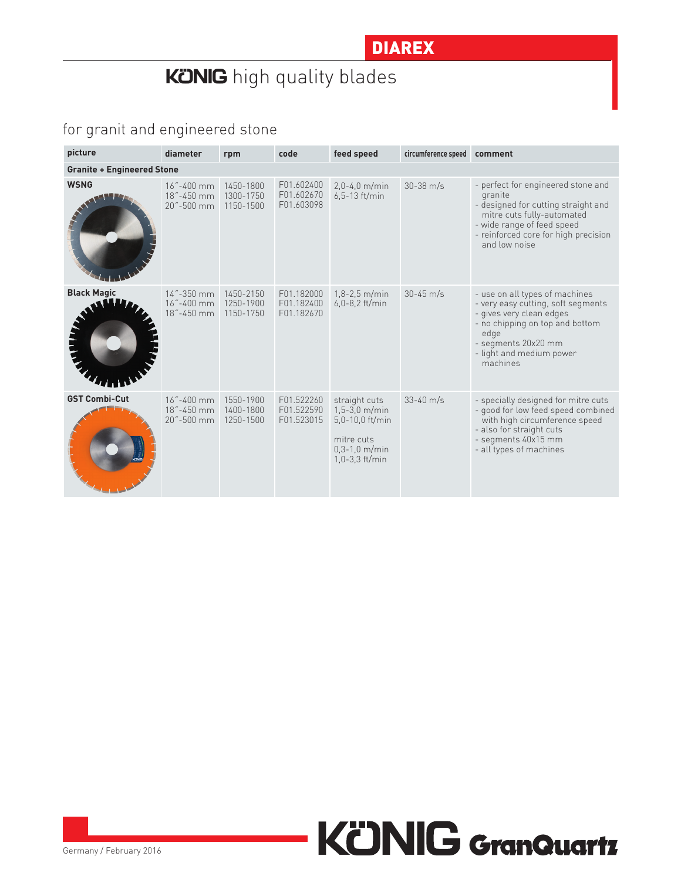## **KONIG** high quality blades

#### for granit and engineered stone

| picture                           | diameter                                  | rpm                                 | code                                   | feed speed                                                                                               | circumference speed | comment                                                                                                                                                                                                    |  |  |  |  |
|-----------------------------------|-------------------------------------------|-------------------------------------|----------------------------------------|----------------------------------------------------------------------------------------------------------|---------------------|------------------------------------------------------------------------------------------------------------------------------------------------------------------------------------------------------------|--|--|--|--|
| <b>Granite + Engineered Stone</b> |                                           |                                     |                                        |                                                                                                          |                     |                                                                                                                                                                                                            |  |  |  |  |
| <b>WSNG</b>                       | 16"-400 mm<br>18"-450 mm<br>20"-500 mm    | 1450-1800<br>1300-1750<br>1150-1500 | F01.602400<br>F01.602670<br>F01.603098 | $2.0 - 4.0$ m/min<br>$6,5-13$ ft/min                                                                     | $30 - 38$ m/s       | - perfect for engineered stone and<br>granite<br>- designed for cutting straight and<br>mitre cuts fully-automated<br>- wide range of feed speed<br>- reinforced core for high precision<br>and low noise  |  |  |  |  |
| <b>Black Magic</b>                | 14"-350 mm<br>16"-400 mm<br>18"-450 mm    | 1450-2150<br>1250-1900<br>1150-1750 | F01.182000<br>F01.182400<br>F01.182670 | $1,8-2,5$ m/min<br>$6.0 - 8.2$ ft/min                                                                    | $30 - 45$ m/s       | - use on all types of machines<br>- very easy cutting, soft segments<br>- gives very clean edges<br>- no chipping on top and bottom<br>edge<br>- segments 20x20 mm<br>- light and medium power<br>machines |  |  |  |  |
| <b>GST Combi-Cut</b>              | $16 - 400$ mm<br>18"-450 mm<br>20"-500 mm | 1550-1900<br>1400-1800<br>1250-1500 | F01.522260<br>F01.522590<br>F01.523015 | straight cuts<br>$1,5-3,0$ m/min<br>5,0-10,0 ft/min<br>mitre cuts<br>$0,3-1,0$ m/min<br>$1,0-3,3$ ft/min | $33 - 40$ m/s       | - specially designed for mitre cuts<br>- good for low feed speed combined<br>with high circumference speed<br>- also for straight cuts<br>- segments 40x15 mm<br>- all types of machines                   |  |  |  |  |